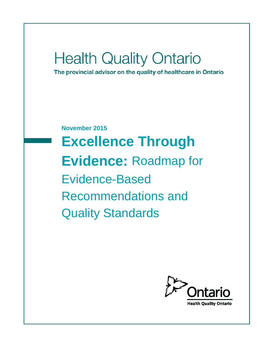# **Health Quality Ontario**

The provincial advisor on the quality of healthcare in Ontario

**November 2015 Excellence Through Evidence:** Roadmap for Evidence-Based Recommendations and Quality Standards

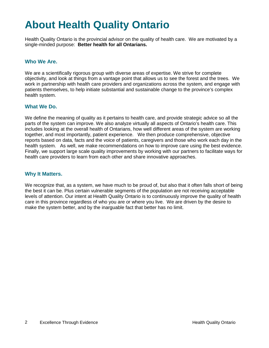## **About Health Quality Ontario**

Health Quality Ontario is the provincial advisor on the quality of health care. We are motivated by a single-minded purpose: **Better health for all Ontarians.**

#### **Who We Are.**

We are a scientifically rigorous group with diverse areas of expertise. We strive for complete objectivity, and look at things from a vantage point that allows us to see the forest and the trees. We work in partnership with health care providers and organizations across the system, and engage with patients themselves, to help initiate substantial and sustainable change to the province's complex health system.

#### **What We Do.**

We define the meaning of quality as it pertains to health care, and provide strategic advice so all the parts of the system can improve. We also analyze virtually all aspects of Ontario's health care. This includes looking at the overall health of Ontarians, how well different areas of the system are working together, and most importantly, patient experience. We then produce comprehensive, objective reports based on data, facts and the voice of patients, caregivers and those who work each day in the health system. As well, we make recommendations on how to improve care using the best evidence. Finally, we support large scale quality improvements by working with our partners to facilitate ways for health care providers to learn from each other and share innovative approaches.

#### **Why It Matters.**

We recognize that, as a system, we have much to be proud of, but also that it often falls short of being the best it can be. Plus certain vulnerable segments of the population are not receiving acceptable levels of attention. Our intent at Health Quality Ontario is to continuously improve the quality of health care in this province regardless of who you are or where you live. We are driven by the desire to make the system better, and by the inarguable fact that better has no limit.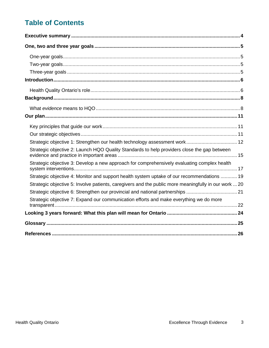## **Table of Contents**

| Strategic objective 1: Strengthen our health technology assessment work 12                           |
|------------------------------------------------------------------------------------------------------|
| Strategic objective 2: Launch HQO Quality Standards to help providers close the gap between          |
| Strategic objective 3: Develop a new approach for comprehensively evaluating complex health          |
| Strategic objective 4: Monitor and support health system uptake of our recommendations  19           |
| Strategic objective 5: Involve patients, caregivers and the public more meaningfully in our work  20 |
| Strategic objective 6: Strengthen our provincial and national partnerships  21                       |
| Strategic objective 7: Expand our communication efforts and make everything we do more               |
|                                                                                                      |
|                                                                                                      |
|                                                                                                      |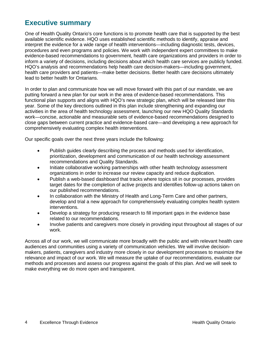## <span id="page-3-0"></span>**Executive summary**

One of Health Quality Ontario's core functions is to promote health care that is supported by the best available scientific evidence. HQO uses established scientific methods to identify, appraise and interpret the evidence for a wide range of health interventions—including diagnostic tests, devices, procedures and even programs and policies. We work with independent expert committees to make evidence-based recommendations to government, health care organizations and providers in order to inform a variety of decisions, including decisions about which health care services are publicly funded. HQO's analysis and recommendations help health care decision-makers—including government, health care providers and patients—make better decisions. Better health care decisions ultimately lead to better health for Ontarians.

In order to plan and communicate how we will move forward with this part of our mandate, we are putting forward a new plan for our work in the area of evidence-based recommendations. This functional plan supports and aligns with HQO's new strategic plan, which will be released later this year. Some of the key directions outlined in this plan include strengthening and expanding our activities in the area of health technology assessment, launching our new HQO Quality Standards work—concise, actionable and measurable sets of evidence-based recommendations designed to close gaps between current practice and evidence-based care—and developing a new approach for comprehensively evaluating complex health interventions.

Our specific goals over the next three years include the following:

- Publish guides clearly describing the process and methods used for identification, prioritization, development and communication of our health technology assessment recommendations and Quality Standards.
- Initiate collaborative working partnerships with other health technology assessment organizations in order to increase our review capacity and reduce duplication.
- Publish a web-based dashboard that tracks where topics sit in our processes, provides target dates for the completion of active projects and identifies follow-up actions taken on our published recommendations.
- In collaboration with the Ministry of Health and Long-Term Care and other partners, develop and trial a new approach for comprehensively evaluating complex health system interventions.
- Develop a strategy for producing research to fill important gaps in the evidence base related to our recommendations.
- Involve patients and caregivers more closely in providing input throughout all stages of our work.

Across all of our work, we will communicate more broadly with the public and with relevant health care audiences and communities using a variety of communication vehicles. We will involve decisionmakers, patients, caregivers and industry more closely in our development processes to maximize the relevance and impact of our work. We will measure the uptake of our recommendations, evaluate our methods and processes and assess our progress against the goals of this plan. And we will seek to make everything we do more open and transparent.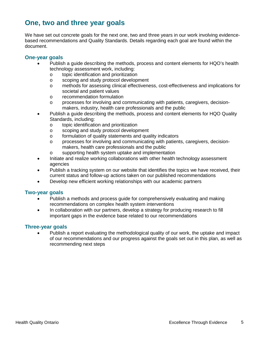## <span id="page-4-0"></span>**One, two and three year goals**

We have set out concrete goals for the next one, two and three years in our work involving evidencebased recommendations and Quality Standards. Details regarding each goal are found within the document.

#### <span id="page-4-1"></span>**One-year goals**

- Publish a guide describing the methods, process and content elements for HQO's health technology assessment work, including:
	- o topic identification and prioritization<br>
	o scoping and study protocol develope
	- scoping and study protocol development
	- o methods for assessing clinical effectiveness, cost-effectiveness and implications for societal and patient values
	- o recommendation formulation
	- o processes for involving and communicating with patients, caregivers, decisionmakers, industry, health care professionals and the public
- Publish a guide describing the methods, process and content elements for HQO Quality Standards, including:
	- o topic identification and prioritization<br>
	o scoping and study protocol developi
	- scoping and study protocol development
	- o formulation of quality statements and quality indicators
	- o processes for involving and communicating with patients, caregivers, decisionmakers, health care professionals and the public
	- o supporting health system uptake and implementation
- Initiate and realize working collaborations with other health technology assessment agencies
- Publish a tracking system on our website that identifies the topics we have received, their current status and follow-up actions taken on our published recommendations
- Develop new efficient working relationships with our academic partners

#### <span id="page-4-2"></span>**Two-year goals**

- Publish a methods and process guide for comprehensively evaluating and making recommendations on complex health system interventions
- In collaboration with our partners, develop a strategy for producing research to fill important gaps in the evidence base related to our recommendations

#### <span id="page-4-3"></span>**Three-year goals**

• Publish a report evaluating the methodological quality of our work, the uptake and impact of our recommendations and our progress against the goals set out in this plan, as well as recommending next steps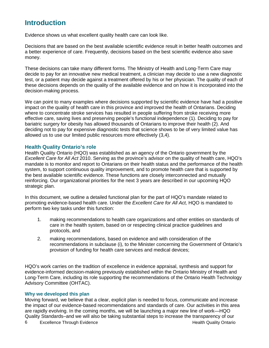## <span id="page-5-0"></span>**Introduction**

Evidence shows us what excellent quality health care can look like.

Decisions that are based on the best available scientific evidence result in better health outcomes and a better experience of care. Frequently, decisions based on the best scientific evidence also save money.

These decisions can take many different forms. The Ministry of Health and Long-Term Care may decide to pay for an innovative new medical treatment, a clinician may decide to use a new diagnostic test, or a patient may decide against a treatment offered by his or her physician. The quality of each of these decisions depends on the quality of the available evidence and on how it is incorporated into the decision-making process.

We can point to many examples where decisions supported by scientific evidence have had a positive impact on the quality of health care in this province and improved the health of Ontarians. Deciding where to concentrate stroke services has resulted in people suffering from stroke receiving more effective care, saving lives and preserving people's functional independence (1). Deciding to pay for bariatric surgery for obesity has allowed thousands of Ontarians to improve their health (2). And deciding not to pay for expensive diagnostic tests that science shows to be of very limited value has allowed us to use our limited public resources more effectively (3,4).

#### <span id="page-5-1"></span>**Health Quality Ontario's role**

Health Quality Ontario (HQO) was established as an agency of the Ontario government by the *Excellent Care for All Act* 2010. Serving as the province's advisor on the quality of health care, HQO's mandate is to monitor and report to Ontarians on their health status and the performance of the health system, to support continuous quality improvement, and to promote health care that is supported by the best available scientific evidence. These functions are closely interconnected and mutually reinforcing. Our organizational priorities for the next 3 years are described in our upcoming HQO strategic plan.

In this document, we outline a detailed functional plan for the part of HQO's mandate related to promoting evidence-based health care. Under the *Excellent Care for All Act,* HQO is mandated to perform two key tasks under this function:

- 1. making recommendations to health care organizations and other entities on standards of care in the health system, based on or respecting clinical practice guidelines and protocols, and
- 2. making recommendations, based on evidence and with consideration of the recommendations in subclause (i), to the Minister concerning the Government of Ontario's provision of funding for health care services and medical devices;

HQO's work carries on the tradition of excellence in evidence appraisal, synthesis and support for evidence-informed decision-making previously established within the Ontario Ministry of Health and Long-Term Care, including its role supporting the recommendations of the Ontario Health Technology Advisory Committee (OHTAC).

#### **Why we developed this plan**

Moving forward, we believe that a clear, explicit plan is needed to focus, communicate and increase the impact of our evidence-based recommendations and standards of care. Our activities in this area are rapidly evolving. In the coming months, we will be launching a major new line of work—HQO Quality Standards–and we will also be taking substantial steps to increase the transparency of our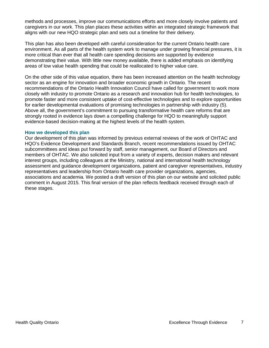methods and processes, improve our communications efforts and more closely involve patients and caregivers in our work. This plan places these activities within an integrated strategic framework that aligns with our new HQO strategic plan and sets out a timeline for their delivery.

This plan has also been developed with careful consideration for the current Ontario health care environment. As all parts of the health system work to manage under growing financial pressures, it is more critical than ever that all health care spending decisions are supported by evidence demonstrating their value. With little new money available, there is added emphasis on identifying areas of low value health spending that could be reallocated to higher value care.

On the other side of this value equation, there has been increased attention on the health technology sector as an engine for innovation and broader economic growth in Ontario. The recent recommendations of the Ontario Health Innovation Council have called for government to work more closely with industry to promote Ontario as a research and innovation hub for health technologies, to promote faster and more consistent uptake of cost-effective technologies and to explore opportunities for earlier developmental evaluations of promising technologies in partnership with industry (5). Above all, the government's commitment to pursuing transformative health care reforms that are strongly rooted in evidence lays down a compelling challenge for HQO to meaningfully support evidence-based decision-making at the highest levels of the health system.

#### **How we developed this plan**

Our development of this plan was informed by previous external reviews of the work of OHTAC and HQO's Evidence Development and Standards Branch, recent recommendations issued by OHTAC subcommittees and ideas put forward by staff, senior management, our Board of Directors and members of OHTAC. We also solicited input from a variety of experts, decision makers and relevant interest groups, including colleagues at the Ministry, national and international health technology assessment and guidance development organizations, patient and caregiver representatives, industry representatives and leadership from Ontario health care provider organizations, agencies, associations and academia. We posted a draft version of this plan on our website and solicited public comment in August 2015. This final version of the plan reflects feedback received through each of these stages.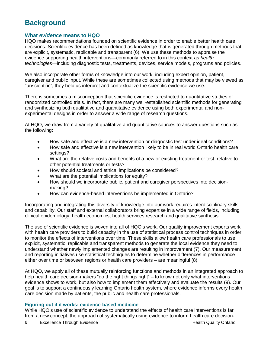## <span id="page-7-0"></span>**Background**

#### <span id="page-7-1"></span>**What** *evidence* **means to HQO**

HQO makes recommendations founded on scientific evidence in order to enable better health care decisions. Scientific evidence has been defined as knowledge that is generated through methods that are explicit, systematic, replicable and transparent (6). We use these methods to appraise the evidence supporting health interventions—commonly referred to in this context as *health technologies*—including diagnostic tests, treatments, devices, service models, programs and policies.

We also incorporate other forms of knowledge into our work, including expert opinion, patient, caregiver and public input. While these are sometimes collected using methods that may be viewed as "unscientific", they help us interpret and contextualize the scientific evidence we use.

There is sometimes a misconception that scientific evidence is restricted to quantitative studies or randomized controlled trials. In fact, there are many well-established scientific methods for generating and synthesizing both qualitative and quantitative evidence using both experimental and nonexperimental designs in order to answer a wide range of research questions.

At HQO, we draw from a variety of qualitative and quantitative sources to answer questions such as the following:

- How safe and effective is a new intervention or diagnostic test under ideal conditions?
- How safe and effective is a new intervention likely to be in real world Ontario health care settings?
- What are the relative costs and benefits of a new or existing treatment or test, relative to other potential treatments or tests?
- How should societal and ethical implications be considered?
- What are the potential implications for equity?
- How should we incorporate public, patient and caregiver perspectives into decisionmaking?
- How can evidence-based interventions be implemented in Ontario?

Incorporating and integrating this diversity of knowledge into our work requires interdisciplinary skills and capability. Our staff and external collaborators bring expertise in a wide range of fields, including clinical epidemiology, health economics, health services research and qualitative synthesis.

The use of scientific evidence is woven into all of HQO's work. Our quality improvement experts work with health care providers to build capacity in the use of statistical process control techniques in order to monitor the effects of interventions over time. These skills allow health care professionals to use explicit, systematic, replicable and transparent methods to generate the local evidence they need to understand whether newly implemented changes are resulting in improvement (7). Our measurement and reporting initiatives use statistical techniques to determine whether differences in performance – either over time or between regions or health care providers – are meaningful (8).

At HQO, we apply all of these mutually reinforcing functions and methods in an integrated approach to help health care decision-makers "do the right things right" – to know not only what interventions evidence shows to work, but also how to implement them effectively and evaluate the results (9). Our goal is to support a continuously learning Ontario health system, where evidence informs every health care decision made by patients, the public and health care professionals.

#### **Figuring out if it works: evidence-based medicine**

While HQO's use of scientific evidence to understand the effects of health care interventions is far from a new concept, the approach of systematically using evidence to inform health care decision-

8 Excellence Through Evidence **Health Quality Ontario Health Quality Ontario**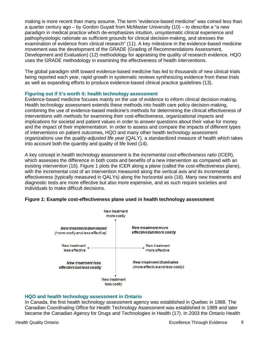making is more recent than many assume. The term "evidence-based medicine" was coined less than a quarter century ago – by Gordon Guyatt from McMaster University (10) – to describe a "a new paradigm in medical practice which de-emphasizes intuition, unsystematic clinical experience and pathophysiologic rationale as sufficient grounds for clinical decision-making, and stresses the examination of evidence from clinical research" (11). A key milestone in the evidence-based medicine movement was the development of the GRADE (Grading of Recommendations Assessment, Development and Evaluation) (12) methodology for appraising the quality of research evidence. HQO uses the GRADE methodology in examining the effectiveness of health interventions.

The global paradigm shift toward evidence-based medicine has led to thousands of new clinical trials being reported each year, rapid growth in systematic reviews synthesizing evidence from these trials as well as expanding efforts to produce evidence-based clinical practice guidelines (13).

#### **Figuring out if it's worth it: health technology assessment**

Evidence-based medicine focuses mainly on the use of evidence to inform clinical decision-making. Health technology assessment extends these methods into health care policy decision-making, combining the use of evidence-based medicine's methods for determining the clinical effectiveness of interventions with methods for examining their cost-effectiveness, organizational impacts and implications for societal and patient values in order to answer questions about their value for money and the impact of their implementation. In order to assess and compare the impacts of different types of interventions on patient outcomes, HQO and many other health technology assessment organizations use the *quality-adjusted life year* (QALY), a standardized measure of health which takes into account both the quantity and quality of life lived (14).

A key concept in health technology assessment is the *incremental cost-effectiveness ratio* (ICER), which assesses the difference in both costs and benefits of a new intervention as compared with an existing intervention (15). Figure 1 plots the ICER along a plane (called the cost-effectiveness plane), with the incremental cost of an intervention measured along the vertical axis and its incremental effectiveness (typically measured in QALYs) along the horizontal axis (16). Many new treatments and diagnostic tests are more effective but also more expensive, and as such require societies and individuals to make difficult decisions.





#### **HQO and health technology assessment in Ontario**

In Canada, the first health technology assessment agency was established in Quebec in 1988. The Canadian Coordinating Office for Health Technology Assessment was established in 1989 and later became the Canadian Agency for Drugs and Technologies in Health (17). In 2003 the Ontario Health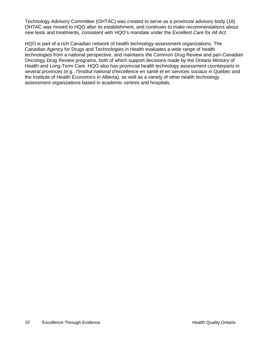Technology Advisory Committee (OHTAC) was created to serve as a provincial advisory body (18). OHTAC was moved to HQO after its establishment, and continues to make recommendations about new tests and treatments, consistent with HQO's mandate under the *Excellent Care for All Act*.

HQO is part of a rich Canadian network of health technology assessment organizations. The Canadian Agency for Drugs and Technologies in Health evaluates a wide range of health technologies from a national perspective, and maintains the Common Drug Review and pan-Canadian Oncology Drug Review programs, both of which support decisions made by the Ontario Ministry of Health and Long-Term Care. HQO also has provincial health technology assessment counterparts in several provinces (e.g., *l'Institut national d'excellence en santé et en services sociaux* in Quebec and the Institute of Health Economics in Alberta), as well as a variety of other health technology assessment organizations based in academic centres and hospitals.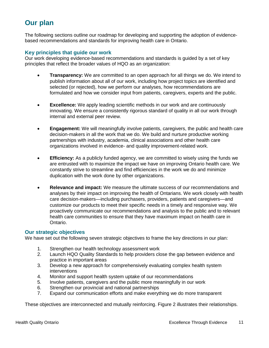## <span id="page-10-0"></span>**Our plan**

The following sections outline our roadmap for developing and supporting the adoption of evidencebased recommendations and standards for improving health care in Ontario.

#### <span id="page-10-1"></span>**Key principles that guide our work**

Our work developing evidence-based recommendations and standards is guided by a set of key principles that reflect the broader values of HQO as an organization:

- **Transparency:** We are committed to an open approach for all things we do. We intend to publish information about all of our work, including how project topics are identified and selected (or rejected), how we perform our analyses, how recommendations are formulated and how we consider input from patients, caregivers, experts and the public.
- **Excellence:** We apply leading scientific methods in our work and are continuously innovating. We ensure a consistently rigorous standard of quality in all our work through internal and external peer review.
- **Engagement:** We will meaningfully involve patients, caregivers, the public and health care decision-makers in all the work that we do. We build and nurture productive working partnerships with industry, academia, clinical associations and other health care organizations involved in evidence- and quality improvement-related work.
- **Efficiency:** As a publicly funded agency, we are committed to wisely using the funds we are entrusted with to maximize the impact we have on improving Ontario health care. We constantly strive to streamline and find efficiencies in the work we do and minimize duplication with the work done by other organizations.
- **Relevance and impact:** We measure the ultimate success of our recommendations and analyses by their impact on improving the health of Ontarians. We work closely with health care decision-makers—including purchasers, providers, patients and caregivers—and customize our products to meet their specific needs in a timely and responsive way. We proactively communicate our recommendations and analysis to the public and to relevant health care communities to ensure that they have maximum impact on health care in Ontario.

#### <span id="page-10-2"></span>**Our strategic objectives**

We have set out the following seven strategic objectives to frame the key directions in our plan:

- 1. Strengthen our health technology assessment work
- 2. Launch HQO Quality Standards to help providers close the gap between evidence and practice in important areas
- 3. Develop a new approach for comprehensively evaluating complex health system interventions
- 4. Monitor and support health system uptake of our recommendations
- 5. Involve patients, caregivers and the public more meaningfully in our work
- 6. Strengthen our provincial and national partnerships
- 7. Expand our communication efforts and make everything we do more transparent

These objectives are interconnected and mutually reinforcing. Figure 2 illustrates their relationships.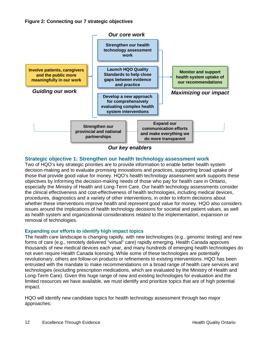

*Our key enablers*

#### <span id="page-11-0"></span>**Strategic objective 1: Strengthen our health technology assessment work**

Two of HQO's key strategic priorities are to provide information to enable better health system decision-making and to evaluate promising innovations and practices, supporting broad uptake of those that provide good value for money. HQO's health technology assessment work supports these objectives by informing the decision-making needs of those who pay for health care in Ontario, especially the Ministry of Health and Long-Term Care. Our health technology assessments consider the clinical effectiveness and cost-effectiveness of health technologies, including medical devices, procedures, diagnostics and a variety of other interventions, in order to inform decisions about whether these interventions improve health and represent good value for money. HQO also considers issues around the implications of health technology decisions for societal and patient values, as well as health system and organizational considerations related to the implementation, expansion or removal of technologies.

#### **Expanding our efforts to identify high impact topics**

The health care landscape is changing rapidly, with new technologies (e.g., genomic testing) and new forms of care (e.g., remotely delivered "virtual" care) rapidly emerging. Health Canada approves thousands of new medical devices each year, and many hundreds of emerging health technologies do not even require Health Canada licensing. While some of these technologies are potentially revolutionary, others are follow-on products or refinements to existing interventions. HQO has been entrusted with the mandate to make recommendations on a broad range of health care services and technologies (excluding prescription medications, which are evaluated by the Ministry of Health and Long-Term Care). Given this huge range of new and existing technologies for evaluation and the limited resources we have available, we must identify and prioritize topics that are of high potential impact.

HQO will identify new candidate topics for health technology assessment through two major approaches: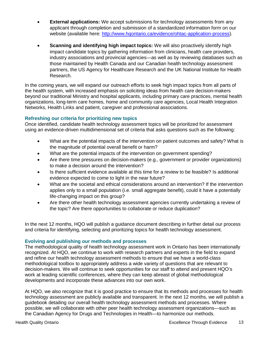- **External applications:** We accept submissions for technology assessments from any applicant through completion and submission of a standardized information form on our website (available here: [http://www.hqontario.ca/evidence/ohtac-application-process\)](http://www.hqontario.ca/evidence/ohtac-application-process).
- **Scanning and identifying high impact topics:** We will also proactively identify high impact candidate topics by gathering information from clinicians, health care providers, industry associations and provincial agencies—as well as by reviewing databases such as those maintained by Health Canada and our Canadian health technology assessment partners, the US Agency for Healthcare Research and the UK National Institute for Health Research.

In the coming years, we will expand our outreach efforts to seek high impact topics from all parts of the health system, with increased emphasis on soliciting ideas from health care decision-makers beyond our traditional Ministry and hospital applicants, including primary care practices, mental health organizations, long-term care homes, home and community care agencies, Local Health Integration Networks, Health Links and patient, caregiver and professional associations.

#### **Refreshing our criteria for prioritizing new topics**

Once identified, candidate health technology assessment topics will be prioritized for assessment using an evidence-driven multidimensional set of criteria that asks questions such as the following:

- What are the potential impacts of the intervention on patient outcomes and safety? What is the magnitude of potential overall benefit or harm?
- What are the potential impacts of the intervention on government spending?
- Are there time pressures on decision-makers (e.g., government or provider organizations) to make a decision around the intervention?
- Is there sufficient evidence available at this time for a review to be feasible? Is additional evidence expected to come to light in the near future?
- What are the societal and ethical considerations around an intervention? If the intervention applies only to a small population (i.e. small aggregate benefit), could it have a potentially life-changing impact on this group?
- Are there other health technology assessment agencies currently undertaking a review of the topic? Are there opportunities to collaborate or reduce duplication?

In the next 12 months, HQO will publish a guidance document describing in further detail our process and criteria for identifying, selecting and prioritizing topics for health technology assessment.

#### **Evolving and publishing our methods and processes**

The methodological quality of health technology assessment work in Ontario has been internationally recognized. At HQO, we continue to work with research partners and experts in the field to expand and refine our health technology assessment methods to ensure that we have a world-class methodological toolbox to appropriately address a wide variety of questions that are relevant to decision-makers. We will continue to seek opportunities for our staff to attend and present HQO's work at leading scientific conferences, where they can keep abreast of global methodological developments and incorporate these advances into our own work.

At HQO, we also recognize that it is good practice to ensure that its methods and processes for health technology assessment are publicly available and transparent. In the next 12 months, we will publish a guidebook detailing our overall health technology assessment methods and processes. Where possible, we will collaborate with other peer health technology assessment organizations—such as the Canadian Agency for Drugs and Technologies in Health—to harmonize our methods.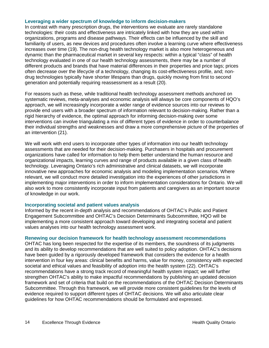#### **Leveraging a wider spectrum of knowledge to inform decision-makers**

In contrast with many prescription drugs, the interventions we evaluate are rarely standalone technologies: their costs and effectiveness are intricately linked with how they are used within organizations, programs and disease pathways. Their effects can be influenced by the skill and familiarity of users, as new devices and procedures often involve a learning curve where effectiveness increases over time (19). The non-drug health technology market is also more heterogeneous and dynamic than the pharmaceutical market in several key respects: within a typical "class" of health technology evaluated in one of our health technology assessments, there may be a number of different products and brands that have material differences in their properties and price tags; prices often decrease over the lifecycle of a technology, changing its cost-effectiveness profile, and; nondrug technologies typically have shorter lifespans than drugs, quickly moving from first to second generation and potentially requiring reassessment as a result (20).

For reasons such as these, while traditional health technology assessment methods anchored on systematic reviews, meta-analyses and economic analysis will always be core components of HQO's approach, we will increasingly incorporate a wider range of evidence sources into our reviews to provide end users with a broader spectrum of information relevant to decision-making. Rather than a rigid hierarchy of evidence, the optimal approach for informing decision-making over some interventions can involve triangulating a mix of different types of evidence in order to counterbalance their individual strengths and weaknesses and draw a more comprehensive picture of the properties of an intervention (21).

We will work with end users to incorporate other types of information into our health technology assessments that are needed for their decision-making. Purchasers in hospitals and procurement organizations have called for information to help them better understand the human resource and organizational impacts, learning curves and range of products available in a given class of health technology. Leveraging Ontario's rich administrative and clinical datasets, we will incorporate innovative new approaches for economic analysis and modeling implementation scenarios. Where relevant, we will conduct more detailed investigation into the experiences of other jurisdictions in implementing major interventions in order to inform implementation considerations for Ontario. We will also work to more consistently incorporate input from patients and caregivers as an important source of knowledge in our work.

#### **Incorporating societal and patient values analysis**

Informed by the recent in-depth analysis and recommendations of OHTAC's Public and Patient Engagement Subcommittee and OHTAC's Decision Determinants Subcommittee, HQO will be implementing a more consistent approach toward developing and integrating societal and patient values analyses into our health technology assessment work.

#### **Renewing our decision framework for health technology assessment recommendations**

OHTAC has long been respected for the expertise of its members, the soundness of its judgments and its ability to develop recommendations that are well suited to policy adoption. OHTAC's decisions have been guided by a rigorously developed framework that considers the evidence for a health intervention in four key areas: clinical benefits and harms, value for money, consistency with expected societal and ethical values and feasibility of adoption into the health system (22). OHTAC's recommendations have a strong track record of meaningful health system impact; we will further strengthen OHTAC's ability to make impactful recommendations by publishing an updated decision framework and set of criteria that build on the recommendations of the OHTAC Decision Determinants Subcommittee. Through this framework, we will provide more consistent guidelines for the levels of evidence required to support different types of OHTAC decisions. We will also articulate clear guidelines for how OHTAC recommendations should be formulated and expressed.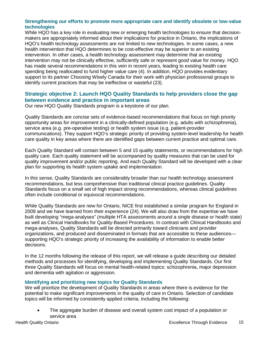#### **Strengthening our efforts to promote more appropriate care and identify obsolete or low-value technologies**

While HQO has a key role in evaluating new or emerging health technologies to ensure that decisionmakers are appropriately informed about their implications for practice in Ontario, the implications of HQO's health technology assessments are not limited to new technologies. In some cases, a new health intervention that HQO determines to be cost-effective may be superior to an existing intervention. In other cases, a health technology assessment may determine that an existing intervention may not be clinically effective, sufficiently safe or represent good value for money. HQO has made several recommendations in this vein in recent years, leading to existing health care spending being reallocated to fund higher value care (4). In addition, HQO provides evidentiary support to its partner Choosing Wisely Canada for their work with physician professional groups to identify current practices that may be ineffective or wasteful (23).

#### <span id="page-14-0"></span>**Strategic objective 2: Launch HQO Quality Standards to help providers close the gap between evidence and practice in important areas**

Our new HQO Quality Standards program is a keystone of our plan.

Quality Standards are concise sets of evidence-based recommendations that focus on high priority opportunity areas for improvement in a clinically-defined population (e.g. adults with schizophrenia), service area (e.g. pre-operative testing) or health system issue (e.g. patient-provider communications). They support HQO's strategic priority of providing system-level leadership for health care quality in key areas where there are identified gaps between current practice and optimal care.

Each Quality Standard will contain between 5 and 15 quality statements, or recommendations for high quality care. Each quality statement will be accompanied by quality measures that can be used for quality improvement and/or public reporting. And each Quality Standard will be developed with a clear plan for supporting its health system uptake and implementation.

In this sense, Quality Standards are considerably broader than our health technology assessment recommendations, but less comprehensive than traditional clinical practice guidelines. Quality Standards focus on a small set of high impact strong recommendations, whereas clinical guidelines often include conditional or equivocal recommendations.

While Quality Standards are new for Ontario, NICE first established a similar program for England in 2009 and we have learned from their experience (24). We will also draw from the expertise we have built developing "mega-analyses" (multiple HTA assessments around a single disease or health state) as well as Clinical Handbooks for Quality-Based Procedures. In contrast with Clinical Handbooks and mega-analyses, Quality Standards will be directed primarily toward clinicians and provider organizations, and produced and disseminated in formats that are accessible to these audiences supporting HQO's strategic priority of increasing the availability of information to enable better decisions.

In the 12 months following the release of this report, we will release a guide describing our detailed methods and processes for identifying, developing and implementing Quality Standards. Our first three Quality Standards will focus on mental health-related topics: schizophrenia, major depression and dementia with agitation or aggression.

#### **Identifying and prioritizing new topics for Quality Standards**

We will prioritize the development of Quality Standards in areas where there is evidence for the potential to make significant improvements in the quality of care in Ontario. Selection of candidate topics will be informed by consistently applied criteria, including the following:

• The aggregate burden of disease and overall system cost impact of a population or service area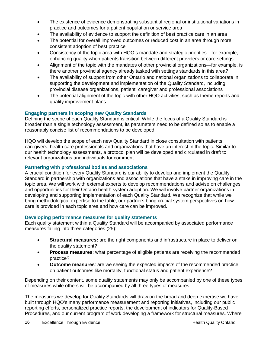- The existence of evidence demonstrating substantial regional or institutional variations in practice and outcomes for a patient population or service area
- The availability of evidence to support the definition of best practice care in an area
- The potential for overall improved outcomes or reduced cost in an area through more consistent adoption of best practice
- Consistency of the topic area with HQO's mandate and strategic priorities—for example, enhancing quality when patients transition between different providers or care settings
- Alignment of the topic with the mandates of other provincial organizations—for example, is there another provincial agency already tasked with settings standards in this area?
- The availability of support from other Ontario and national organizations to collaborate in supporting the development and implementation of the Quality Standard, including provincial disease organizations, patient, caregiver and professional associations
- The potential alignment of the topic with other HQO activities, such as theme reports and quality improvement plans

#### **Engaging partners in scoping new Quality Standards**

Defining the scope of each Quality Standard is critical. While the focus of a Quality Standard is broader than a single technology assessment, its parameters need to be defined so as to enable a reasonably concise list of recommendations to be developed.

HQO will develop the scope of each new Quality Standard in close consultation with patients, caregivers, health care professionals and organizations that have an interest in the topic. Similar to our health technology assessments, a protocol plan will be developed and circulated in draft to relevant organizations and individuals for comment.

#### **Partnering with professional bodies and associations**

A crucial condition for every Quality Standard is our ability to develop and implement the Quality Standard in partnership with organizations and associations that have a stake in improving care in the topic area. We will work with external experts to develop recommendations and advise on challenges and opportunities for their Ontario health system adoption. We will involve partner organizations in developing and supporting implementation of each Quality Standard. We recognize that while we bring methodological expertise to the table, our partners bring crucial system perspectives on how care is provided in each topic area and how care can be improved.

#### **Developing performance measures for quality statements**

Each quality statement within a Quality Standard will be accompanied by associated performance measures falling into three categories (25):

- **Structural measures:** are the right components and infrastructure in place to deliver on the quality statement?
- **Process measures**: what percentage of eligible patients are receiving the recommended practice?
- **Outcome measures**: are we seeing the expected impacts of the recommended practice on patient outcomes like mortality, functional status and patient experience?

Depending on their content, some quality statements may only be accompanied by one of these types of measures while others will be accompanied by all three types of measures.

The measures we develop for Quality Standards will draw on the broad and deep expertise we have built through HQO's many performance measurement and reporting initiatives, including our public reporting efforts, personalized practice reports, the development of indicators for Quality-Based Procedures, and our current program of work developing a framework for structural measures. Where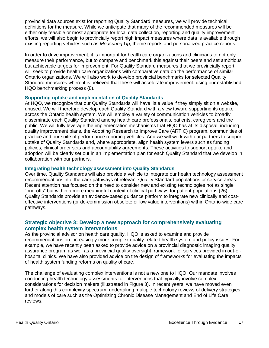provincial data sources exist for reporting Quality Standard measures, we will provide technical definitions for the measure. While we anticipate that many of the recommended measures will be either only feasible or most appropriate for local data collection, reporting and quality improvement efforts, we will also begin to provincially report high impact measures where data is available through existing reporting vehicles such as *Measuring Up*, theme reports and personalized practice reports.

In order to drive improvement, it is important for health care organizations and clinicians to not only measure their performance, but to compare and benchmark this against their peers and set ambitious but achievable targets for improvement. For Quality Standard measures that we provincially report, will seek to provide health care organizations with comparative data on the performance of similar Ontario organizations. We will also work to develop provincial benchmarks for selected Quality Standard measures where it is believed that these will accelerate improvement, using our established HQO benchmarking process (8).

#### **Supporting uptake and implementation of Quality Standards**

At HQO, we recognize that our Quality Standards will have little value if they simply sit on a website, unused. We will therefore develop each Quality Standard with a view toward supporting its uptake across the Ontario health system. We will employ a variety of communication vehicles to broadly disseminate each Quality Standard among health care professionals, patients, caregivers and the public. We will fully leverage the implementation mechanisms that HQO has at its disposal, including quality improvement plans, the Adopting Research to Improve Care (ARTIC) program, communities of practice and our suite of performance reporting vehicles. And we will work with our partners to support uptake of Quality Standards and, where appropriate, align health system levers such as funding policies, clinical order sets and accountability agreements. These activities to support uptake and adoption will be clearly set out in an implementation plan for each Quality Standard that we develop in collaboration with our partners.

#### **Integrating health technology assessment into Quality Standards**

Over time, Quality Standards will also provide a vehicle to integrate our health technology assessment recommendations into the care pathways of relevant Quality Standard populations or service areas. Recent attention has focused on the need to consider new and existing technologies not as single "one-offs" but within a more meaningful context of clinical pathways for patient populations (26). Quality Standards provide an evidence-based guidance platform to integrate new clinically and costeffective interventions (or de-commission obsolete or low value interventions) within Ontario-wide care pathways.

#### <span id="page-16-0"></span>**Strategic objective 3: Develop a new approach for comprehensively evaluating complex health system interventions**

As the provincial advisor on health care quality, HQO is asked to examine and provide recommendations on increasingly more complex quality-related health system and policy issues. For example, we have recently been asked to provide advice on a provincial diagnostic imaging quality assurance program as well as a provincial quality oversight framework for services provided in out-ofhospital clinics. We have also provided advice on the design of frameworks for evaluating the impacts of health system funding reforms on quality of care.

The challenge of evaluating complex interventions is not a new one to HQO. Our mandate involves conducting health technology assessments for interventions that typically involve complex considerations for decision makers (illustrated in Figure 3). In recent years, we have moved even further along this complexity spectrum, undertaking multiple technology reviews of delivery strategies and models of care such as the Optimizing Chronic Disease Management and End of Life Care reviews.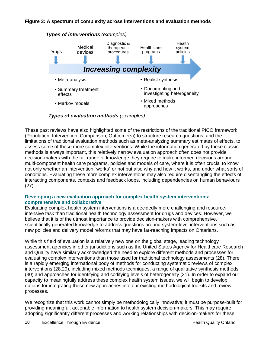

*Types of evaluation methods (examples)*

These past reviews have also highlighted some of the restrictions of the traditional PICO framework (Population, Intervention, Comparison, Outcome(s)) to structure research questions, and the limitations of traditional evaluation methods such as meta-analyzing summary estimates of effects, to assess some of these more complex interventions. While the information generated by these classic methods is always important, this relatively narrow evaluation approach often does not provide decision-makers with the full range of knowledge they require to make informed decisions around multi-component health care programs, policies and models of care, where it is often crucial to know not only whether an intervention "works" or not but also why and how it works, and under what sorts of conditions. Evaluating these more complex interventions may also require disentangling the effects of interacting components, contexts and feedback loops, including dependencies on human behaviours (27).

#### **Developing a new evaluation approach for complex health system interventions: comprehensive and collaborative**

Evaluating complex health system interventions is a decidedly more challenging and resourceintensive task than traditional health technology assessment for drugs and devices. However, we believe that it is of the utmost importance to provide decision-makers with comprehensive, scientifically generated knowledge to address questions around system-level interventions such as new policies and delivery model reforms that may have far-reaching impacts on Ontarians.

While this field of evaluation is a relatively new one on the global stage, leading technology assessment agencies in other jurisdictions such as the United States Agency for Healthcare Research and Quality have similarly acknowledged the need to explore different methods and processes for evaluating complex interventions than those used for traditional technology assessments (28). There is a rapidly emerging international body of methods for conducting systematic reviews of complex interventions (28,29), including mixed methods techniques, a range of qualitative synthesis methods (30) and approaches for identifying and codifying levels of heterogeneity (31). In order to expand our capacity to meaningfully address these complex health system issues, we will begin to develop options for integrating these new approaches into our existing methodological toolkits and review processes.

We recognize that this work cannot simply be methodologically innovative; it must be purpose-built for providing meaningful, actionable information to health system decision-makers. This may require adopting significantly different processes and working relationships with decision-makers for these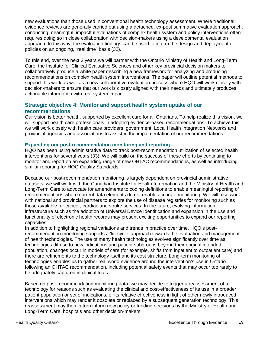new evaluations than those used in conventional health technology assessment. Where traditional evidence reviews are generally carried out using a detached, ex-post summative evaluation approach, conducting meaningful, impactful evaluations of complex health system and policy interventions often requires doing so in close collaboration with decision-makers using a developmental evaluation approach. In this way, the evaluation findings can be used to inform the design and deployment of policies on an ongoing, "real time" basis (32).

To this end, over the next 2 years we will partner with the Ontario Ministry of Health and Long-Term Care, the Institute for Clinical Evaluative Sciences and other key provincial decision makers to collaboratively produce a white paper describing a new framework for analyzing and producing recommendations on complex health system interventions. The paper will outline potential methods to support this work as well as a new collaborative evaluation process where HQO will work closely with decision-makers to ensure that our work is closely aligned with their needs and ultimately produces actionable information with real system impact.

#### <span id="page-18-0"></span>**Strategic objective 4: Monitor and support health system uptake of our recommendations**

Our vision is better health, supported by excellent care for all Ontarians. To help realize this vision, we will support health care professionals in adopting evidence-based recommendations. To achieve this, we will work closely with health care providers, government, Local Health Integration Networks and provincial agencies and associations to assist in the implementation of our recommendations.

#### **Expanding our post-recommendation monitoring and reporting**

HQO has been using administrative data to track post-recommendation utilization of selected health interventions for several years (33). We will build on the success of these efforts by continuing to monitor and report on an expanding range of new OHTAC recommendations, as well as introducing similar reporting for HQO Quality Standards.

Because our post-recommendation monitoring is largely dependent on provincial administrative datasets, we will work with the Canadian Institute for Health Information and the Ministry of Health and Long-Term Care to advocate for amendments to coding definitions to enable meaningful reporting of recommendations where current data elements do not enable accurate monitoring. We will also work with national and provincial partners to explore the use of disease registries for monitoring such as those available for cancer, cardiac and stroke services. In the future, evolving information infrastructure such as the adoption of Universal Device Identification and expansion in the use and functionality of electronic health records may present exciting opportunities to expand our reporting capacities.

In addition to highlighting regional variations and trends in practice over time, HQO's postrecommendation monitoring supports a 'lifecycle' approach towards the evaluation and management of health technologies. The use of many health technologies evolves significantly over time as technologies diffuse to new indications and patient subgroups beyond their original intended population, changes occur in models of care (for example, shifts from inpatient to outpatient care) and there are refinements to the technology itself and its cost structure. Long-term monitoring of technologies enables us to gather real world evidence around the intervention's use in Ontario following an OHTAC recommendation, including potential safety events that may occur too rarely to be adequately captured in clinical trials.

Based on post-recommendation monitoring data, we may decide to trigger a reassessment of a technology for reasons such as evaluating the clinical and cost-effectiveness of its use in a broader patient population or set of indications, or its relative effectiveness in light of other newly introduced interventions which may render it obsolete or replaced by a subsequent generation technology. This reassessment may then in turn inform new policy or funding decisions by the Ministry of Health and Long-Term Care, hospitals and other decision-makers.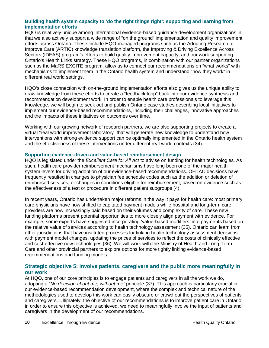#### **Building health system capacity to 'do the right things right': supporting and learning from implementation efforts**

HQO is relatively unique among international evidence-based guidance development organizations in that we also actively support a wide range of "on the ground" implementation and quality improvement efforts across Ontario. These include HQO-managed programs such as the Adopting Research to Improve Care (ARTIC) knowledge translation platform, the Improving & Driving Excellence Across Sectors (IDEAS) program's efforts to build quality improvement capacity, and our work supporting Ontario's Health Links strategy. These HQO programs, in combination with our partner organizations such as the MaRS EXCITE program, allow us to connect our recommendations on "what works" with mechanisms to implement them in the Ontario health system and understand "how they work" in different real world settings.

HQO's close connection with on-the-ground implementation efforts also gives us the unique ability to draw knowledge from these efforts to create a "feedback loop" back into our evidence synthesis and recommendation development work. In order to enable health care professionals to leverage this knowledge, we will begin to seek out and publish Ontario case studies describing local initiatives to implement our evidence-based recommendations, including their challenges, innovative approaches and the impacts of these initiatives on outcomes over time.

Working with our growing network of research partners, we are also supporting projects to create a virtual "real world improvement laboratory" that will generate new knowledge to understand how interventions with strong evidence support can be optimally implemented in the Ontario health system and the effectiveness of these interventions under different real world contexts (34).

#### **Supporting evidence-driven and value-based reimbursement design**

HQO is legislated under the *Excellent Care for All Act* to advise on funding for health technologies. As such, health care provider reimbursement mechanisms have long been one of the major health system levers for driving adoption of our evidence-based recommendations. OHTAC decisions have frequently resulted in changes to physician fee schedule codes such as the addition or deletion of reimbursed services, or changes in conditions eligible for reimbursement, based on evidence such as the effectiveness of a test or procedure in different patient subgroups (4).

In recent years, Ontario has undertaken major reforms in the way it pays for health care: most primary care physicians have now shifted to capitated payment models while hospital and long-term care providers are now increasingly paid based on their volumes and complexity of care. These new funding platforms present potential opportunities to more closely align payment with evidence. For example, some experts have suggested incorporating 'value-based modifiers' into payments based on the relative value of services according to health technology assessment (35). Ontario can learn from other jurisdictions that have instituted processes for linking health technology assessment decisions with payment model changes, updating the prices of services to reflect the costs of clinically effective and cost-effective new technologies (36). We will work with the Ministry of Health and Long-Term Care and other provincial partners to explore options for more tightly linking evidence-based recommendations and funding models.

#### <span id="page-19-0"></span>**Strategic objective 5: Involve patients, caregivers and the public more meaningfully in our work**

At HQO, one of our core principles is to engage patients and caregivers in all the work we do, adopting a *"No decision about me, without me"* principle (37)*.* This approach is particularly crucial in our evidence-based recommendation development, where the complex and technical nature of the methodologies used to develop this work can easily obscure or crowd out the perspectives of patients and caregivers. Ultimately, the objective of our recommendations is to improve patient care in Ontario; in order to ensure this objective is achieved, we need to meaningfully involve the input of patients and caregivers in the development of our recommendations.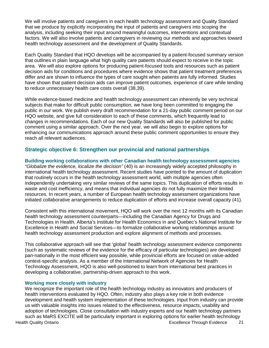We will involve patients and caregivers in each health technology assessment and Quality Standard that we produce by explicitly incorporating the input of patients and caregivers into scoping the analysis, including seeking their input around meaningful outcomes, interventions and contextual factors. We will also involve patients and caregivers in reviewing our methods and approaches toward health technology assessment and the development of Quality Standards.

Each Quality Standard that HQO develops will be accompanied by a patient-focused summary version that outlines in plain language what high quality care patients should expect to receive in the topic area. We will also explore options for producing patient-focused tools and resources such as patient decision aids for conditions and procedures where evidence shows that patient treatment preferences differ and are shown to influence the types of care sought when patients are fully informed. Studies have shown that patient decision aids can improve patient outcomes, experience of care while tending to reduce unnecessary health care costs overall (38,39).

While evidence-based medicine and health technology assessment can inherently be very technical subjects that make for difficult public consumption, we have long been committed to engaging the public in our work. We publish every draft recommendation for a 21-day public comment period on our HQO website, and give full consideration to each of these comments, which frequently lead to changes in recommendations. Each of our new Quality Standards will also be published for public comment using a similar approach. Over the next year, we will also begin to explore options for enhancing our communications approach around these public comment opportunities to ensure they reach all relevant audiences.

#### <span id="page-20-0"></span>**Strategic objective 6: Strengthen our provincial and national partnerships**

#### **Building working collaborations with other Canadian health technology assessment agencies**

*"Globalize the evidence, localize the decision"* (40) is an increasingly widely accepted philosophy in international health technology assessment. Recent studies have pointed to the amount of duplication that routinely occurs in the health technology assessment world, with multiple agencies often independently undertaking very similar reviews of the same topics. This duplication of efforts results in waste and cost inefficiency, and means that individual agencies do not fully maximize their limited resources. In recent years, a number of European health technology assessment organizations have initiated collaborative arrangements to reduce duplication of efforts and increase overall capacity (41).

Consistent with this international movement, HQO will work over the next 12 months with its Canadian health technology assessment counterparts—including the Canadian Agency for Drugs and Technologies in Health, Alberta's Institute for Health Economics in and Quebec's National Institute for Excellence in Health and Social Services—to formalize collaborative working relationships around health technology assessment production and explore alignment of methods and processes.

This collaborative approach will see that 'global' health technology assessment evidence components (such as systematic reviews of the evidence for the efficacy of particular technologies) are developed pan-nationally in the most efficient way possible, while provincial efforts are focused on value-added context-specific analysis. As a member of the International Network of Agencies for Health Technology Assessment, HQO is also well-positioned to learn from international best practices in developing a collaborative, partnership-driven approach to this work.

#### **Working more closely with industry**

We recognize the important role of the health technology industry as innovators and producers of health interventions evaluated by HQO. Often, industry also plays a key role in both evidence development and health system implementation of these technologies. Input from industry can provide us with valuable insights into issues related to the effectiveness, resource impacts, usability and adoption of technologies. Close consultation with industry experts and our health technology partners such as MaRS EXCITE will be particularly important in exploring options for earlier health technology Health Quality Ontario Excellence Through Evidence 21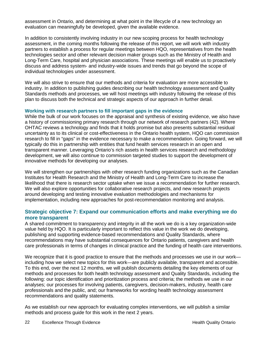assessment in Ontario, and determining at what point in the lifecycle of a new technology an evaluation can meaningfully be developed, given the available evidence.

In addition to consistently involving industry in our new scoping process for health technology assessment, in the coming months following the release of this report, we will work with industry partners to establish a process for regular meetings between HQO, representatives from the health technologies sector and other relevant decision maker groups such as the Ministry of Health and Long-Term Care, hospital and physician associations. These meetings will enable us to proactively discuss and address system- and industry-wide issues and trends that go beyond the scope of individual technologies under assessment.

We will also strive to ensure that our methods and criteria for evaluation are more accessible to industry. In addition to publishing guides describing our health technology assessment and Quality Standards methods and processes, we will host meetings with industry following the release of this plan to discuss both the technical and strategic aspects of our approach in further detail.

#### **Working with research partners to fill important gaps in the evidence**

While the bulk of our work focuses on the appraisal and synthesis of existing evidence, we also have a history of commissioning primary research through our network of research partners (42). Where OHTAC reviews a technology and finds that it holds promise but also presents substantial residual uncertainty as to its clinical or cost-effectiveness in the Ontario health system, HQO can commission research to fill in "gaps" in the evidence necessary to make a recommendation. Going forward, we will typically do this in partnership with entities that fund health services research in an open and transparent manner. Leveraging Ontario's rich assets in health services research and methodology development, we will also continue to commission targeted studies to support the development of innovative methods for developing our analyses.

We will strengthen our partnerships with other research funding organizations such as the Canadian Institutes for Health Research and the Ministry of Health and Long-Term Care to increase the likelihood that there is research sector uptake when we issue a recommendation for further research. We will also explore opportunities for collaborative research projects, and new research projects around developing and testing innovative evaluation methodologies and mechanisms for implementation, including new approaches for post-recommendation monitoring and analysis.

#### <span id="page-21-0"></span>**Strategic objective 7: Expand our communication efforts and make everything we do more transparent**

A shared commitment to transparency and integrity in all the work we do is a key organization-wide value held by HQO. It is particularly important to reflect this value in the work we do developing, publishing and supporting evidence-based recommendations and Quality Standards, where recommendations may have substantial consequences for Ontario patients, caregivers and health care professionals in terms of changes in clinical practice and the funding of health care interventions.

We recognize that it is good practice to ensure that the methods and processes we use in our work including how we select new topics for this work—are publicly available, transparent and accessible. To this end, over the next 12 months, we will publish documents detailing the key elements of our methods and processes for both health technology assessment and Quality Standards, including the following: our topic identification and prioritization process and criteria; the methods we use in our analyses; our processes for involving patients, caregivers, decision-makers, industry, health care professionals and the public, and; our frameworks for wording health technology assessment recommendations and quality statements.

As we establish our new approach for evaluating complex interventions, we will publish a similar methods and process guide for this work in the next 2 years.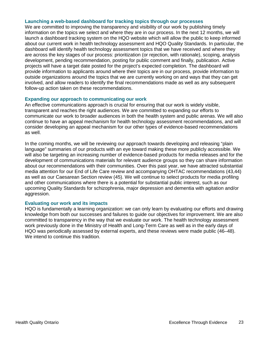#### **Launching a web-based dashboard for tracking topics through our processes**

We are committed to improving the transparency and visibility of our work by publishing timely information on the topics we select and where they are in our process. In the next 12 months, we will launch a dashboard tracking system on the HQO website which will allow the public to keep informed about our current work in health technology assessment and HQO Quality Standards. In particular, the dashboard will identify health technology assessment topics that we have received and where they are across the key stages of our process: prioritization (or rejection, with rationale), scoping, analysis development, pending recommendation, posting for public comment and finally, publication. Active projects will have a target date posted for the project's expected completion. The dashboard will provide information to applicants around where their topics are in our process, provide information to outside organizations around the topics that we are currently working on and ways that they can get involved, and allow readers to identify the final recommendations made as well as any subsequent follow-up action taken on these recommendations.

#### **Expanding our approach to communicating our work**

An effective communications approach is crucial for ensuring that our work is widely visible, transparent and reaches the right audiences. We are committed to expanding our efforts to communicate our work to broader audiences in both the health system and public arenas. We will also continue to have an appeal mechanism for health technology assessment recommendations, and will consider developing an appeal mechanism for our other types of evidence-based recommendations as well.

In the coming months, we will be reviewing our approach towards developing and releasing "plain language" summaries of our products with an eye toward making these more publicly accessible. We will also be targeting an increasing number of evidence-based products for media releases and for the development of communications materials for relevant audience groups so they can share information about our recommendations with their communities. Over this past year, we have attracted substantial media attention for our End of Life Care review and accompanying OHTAC recommendations (43,44) as well as our Caesarean Section review (45). We will continue to select products for media profiling and other communications where there is a potential for substantial public interest, such as our upcoming Quality Standards for schizophrenia, major depression and dementia with agitation and/or aggression.

#### **Evaluating our work and its impacts**

HQO is fundamentally a learning organization: we can only learn by evaluating our efforts and drawing knowledge from both our successes and failures to guide our objectives for improvement. We are also committed to transparency in the way that we evaluate our work. The health technology assessment work previously done in the Ministry of Health and Long-Term Care as well as in the early days of HQO was periodically assessed by external experts, and these reviews were made public (46–48). We intend to continue this tradition.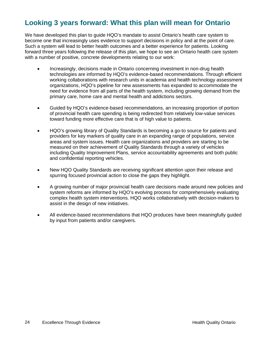## <span id="page-23-0"></span>**Looking 3 years forward: What this plan will mean for Ontario**

We have developed this plan to guide HQO's mandate to assist Ontario's health care system to become one that increasingly uses evidence to support decisions in policy and at the point of care. Such a system will lead to better health outcomes and a better experience for patients. Looking forward three years following the release of this plan, we hope to see an Ontario health care system with a number of positive, concrete developments relating to our work:

- Increasingly, decisions made in Ontario concerning investment in non-drug health technologies are informed by HQO's evidence-based recommendations. Through efficient working collaborations with research units in academia and health technology assessment organizations, HQO's pipeline for new assessments has expanded to accommodate the need for evidence from all parts of the health system, including growing demand from the primary care, home care and mental health and addictions sectors.
- Guided by HQO's evidence-based recommendations, an increasing proportion of portion of provincial health care spending is being redirected from relatively low-value services toward funding more effective care that is of high value to patients.
- HQO's growing library of Quality Standards is becoming a go-to source for patients and providers for key markers of quality care in an expanding range of populations, service areas and system issues. Health care organizations and providers are starting to be measured on their achievement of Quality Standards through a variety of vehicles including Quality Improvement Plans, service accountability agreements and both public and confidential reporting vehicles.
- New HQO Quality Standards are receiving significant attention upon their release and spurring focused provincial action to close the gaps they highlight.
- A growing number of major provincial health care decisions made around new policies and system reforms are informed by HQO's evolving process for comprehensively evaluating complex health system interventions. HQO works collaboratively with decision-makers to assist in the design of new initiatives.
- All evidence-based recommendations that HQO produces have been meaningfully guided by input from patients and/or caregivers.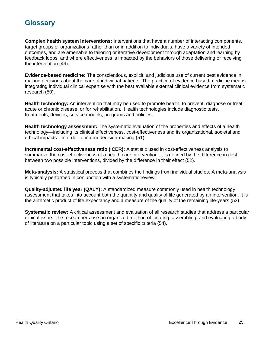### <span id="page-24-0"></span>**Glossary**

**Complex health system interventions:** Interventions that have a number of interacting components, target groups or organizations rather than or in addition to individuals, have a variety of intended outcomes, and are amenable to tailoring or iterative development through adaptation and learning by feedback loops, and where effectiveness is impacted by the behaviors of those delivering or receiving the intervention (49).

**Evidence-based medicine:** The conscientious, explicit, and judicious use of current best evidence in making decisions about the care of individual patients. The practice of evidence based medicine means integrating individual clinical expertise with the best available external clinical evidence from systematic research (50).

**Health technology:** An intervention that may be used to promote health, to prevent, diagnose or treat acute or chronic disease, or for rehabilitation. Health technologies include diagnostic tests, treatments, devices, service models, programs and policies.

**Health technology assessment:** The systematic evaluation of the properties and effects of a health technology—including its clinical effectiveness, cost-effectiveness and its organizational, societal and ethical impacts—in order to inform decision-making (51).

**Incremental cost-effectiveness ratio (ICER):** A statistic used in cost-effectiveness analysis to summarize the cost-effectiveness of a health care intervention. It is defined by the difference in cost between two possible interventions, divided by the difference in their effect (52).

**Meta-analysis:** A statistical process that combines the findings from individual studies. A meta-analysis is typically performed in conjunction with a systematic review.

**Quality-adjusted life year (QALY):** A standardized measure commonly used in health technology assessment that takes into account both the quantity and quality of life generated by an intervention. It is the arithmetic product of life expectancy and a measure of the quality of the remaining life-years (53).

**Systematic review:** A critical assessment and evaluation of all research studies that address a particular clinical issue. The researchers use an organized method of locating, assembling, and evaluating a body of literature on a particular topic using a set of specific criteria (54).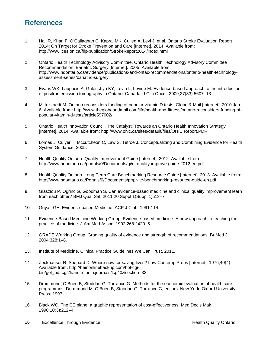## <span id="page-25-0"></span>**References**

- 1. Hall R, Khan F, O'Callaghan C, Kapral MK, Cullen A, Levi J, et al. Ontario Stroke Evaluation Report 2014: On Target for Stroke Prevention and Care [Internet]. 2014. Available from: http://www.ices.on.ca/flip-publication/StrokeReport2014/index.html
- 2. Ontario Health Technology Advisory Committee. Ontario Health Technology Advisory Committee Recommendation: Bariatric Surgery [Internet]. 2005. Available from: http://www.hqontario.ca/evidence/publications-and-ohtac-recommendations/ontario-health-technologyassessment-series/bariatric-surgery
- 3. Evans WK, Laupacis A, Gulenchyn KY, Levin L, Levine M. Evidence-based approach to the introduction of positron emission tomography in Ontario, Canada. J Clin Oncol. 2009;27(33):5607–13.
- 4. Mittelstaedt M. Ontario reconsiders funding of popular vitamin D tests. Globe & Mail [Internet]. 2010 Jan 6; Available from: http://www.theglobeandmail.com/life/health-and-fitness/ontario-reconsiders-funding-ofpopular-vitamin-d-tests/article597002/
- 5. Ontario Health Innovation Council. The Catalyst: Towards an Ontario Health Innovation Strategy [Internet]. 2014. Available from: http://www.ohic.ca/sites/default/files/OHIC Report.PDF
- 6. Lomas J, Culyer T, Mccutcheon C, Law S, Tetroe J. Conceptualizing and Combining Evidence for Health System Guidance. 2005.
- 7. Health Quality Ontario. Quality Improvement Guide [Internet]. 2012. Available from: http://www.hqontario.ca/portals/0/Documents/qi/qi-quality-improve-guide-2012-en.pdf
- 8. Health Quality Ontario. Long-Term Care Benchmarking Resource Guide [Internet]. 2013. Available from: http://www.hqontario.ca/Portals/0/Documents/pr/pr-ltc-benchmarking-resource-guide-en.pdf
- 9. Glasziou P, Ogrinc G, Goodman S. Can evidence-based medicine and clinical quality improvement learn from each other? BMJ Qual Saf. 2011;20 Suppl 1(Suppl 1):i13–7.
- 10. Guyatt GH. Evidence-based Medicine. ACP J Club. 1991;114.
- 11. Evidence-Based Medicine Working Group. Evidence-based medicine. A new approach to teaching the practice of medicine. J Am Med Assoc. 1992;268:2420–5.
- 12. GRADE Working Group. Grading quality of evidence and strength of recommendations. Br Med J. 2004;328:1–8.
- 13. Institute of Medicine. Clinical Practice Guidelines We Can Trust. 2011.
- 14. Zeckhauser R, Shepard D. Where now for saving lives? Law Contemp Probs [Internet]. 1976;40(4). Available from: http://heinonlinebackup.com/hol-cgibin/get\_pdf.cgi?handle=hein.journals/lcp40&section=33
- 15. Drummond, O'Brien B, Stoddart G, Torrance G. Methods for the economic evaluation of health care programmes. Durmmond M, O'Brien B, Stoodart G, Torrance G, editors. New York: Oxford University Press; 1997.
- 16. Black WC. The CE plane: a graphic representation of cost-effectiveness. Med Decis Mak. 1990;10(3):212–4.
- 26 Excellence Through Evidence **Health Quality Ontario** 26 Excellence Through Evidence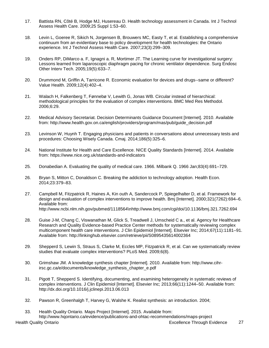- 17. Battista RN, Côté B, Hodge MJ, Husereau D. Health technology assessment in Canada. Int J Technol Assess Health Care. 2009;25 Suppl 1:53–60.
- 18. Levin L, Goeree R, Sikich N, Jorgensen B, Brouwers MC, Easty T, et al. Establishing a comprehensive continuum from an evidentiary base to policy development for health technologies: the Ontario experience. Int J Technol Assess Health Care. 2007;23(3):299–309.
- 19. Onders RP, DiMarco a. F, Ignagni a. R, Mortimer JT. The Learning curve for investigational surgery: Lessons learned from laparoscopic diaphragm pacing for chronic ventilator dependence. Surg Endosc Other Interv Tech. 2005;19(5):633–7.
- 20. Drummond M, Griffin A, Tarricone R. Economic evaluation for devices and drugs--same or different? Value Health. 2009;12(4):402–4.
- 21. Walach H, Falkenberg T, Fønnebø V, Lewith G, Jonas WB. Circular instead of hierarchical: methodological principles for the evaluation of complex interventions. BMC Med Res Methodol. 2006;6:29.
- 22. Medical Advisory Secretariat. Decision Determinants Guidance Document [Internet]. 2010. Available from: http://www.health.gov.on.ca/english/providers/program/mas/pub/guide\_decision.pdf
- 23. Levinson W, Huynh T. Engaging physicians and patients in conversations about unnecessary tests and procedures: Choosing Wisely Canada. Cmaj. 2014;186(5):325–6.
- 24. National Institute for Health and Care Excellence. NICE Quality Standards [Internet]. 2014. Available from: https://www.nice.org.uk/standards-and-indicators
- 25. Donabedian A. Evaluating the quality of medical care. 1966. Milbank Q. 1966 Jan;83(4):691–729.
- 26. Bryan S, Mitton C, Donaldson C. Breaking the addiction to technology adoption. Health Econ. 2014;23:379–83.
- 27. Campbell M, Fitzpatrick R, Haines A, Kin outh A, Sandercock P, Spiegelhalter D, et al. Framework for design and evaluation of complex interventions to improve health. Bmj [Internet]. 2000;321(7262):694–6. Available from: http://www.ncbi.nlm.nih.gov/pubmed/1118564\nhttp://www.bmj.com/cgi/doi/10.1136/bmj.321.7262.694
- 28. Guise J-M, Chang C, Viswanathan M, Glick S, Treadwell J, Umscheid C a., et al. Agency for Healthcare Research and Quality Evidence-based Practice Center methods for systematically reviewing complex multicomponent health care interventions. J Clin Epidemiol [Internet]. Elsevier Inc; 2014;67(11):1181–91. Available from: http://linkinghub.elsevier.com/retrieve/pii/S0895435614002364
- 29. Shepperd S, Lewin S, Straus S, Clarke M, Eccles MP, Fitzpatrick R, et al. Can we systematically review studies that evaluate complex interventions? PLoS Med. 2009;6(8).
- 30. Grimshaw JM. A knowledge synthesis chapter [Internet]. 2010. Available from: http://www.cihrirsc.gc.ca/e/documents/knowledge\_synthesis\_chapter\_e.pdf
- 31. Pigott T, Shepperd S. Identifying, documenting, and examining heterogeneity in systematic reviews of complex interventions. J Clin Epidemiol [Internet]. Elsevier Inc; 2013;66(11):1244–50. Available from: http://dx.doi.org/10.1016/j.jclinepi.2013.06.013
- 32. Pawson R, Greenhalgh T, Harvey G, Walshe K. Realist synthesis: an introduction. 2004;
- 33. Health Quality Ontario. Maps Project [Internet]. 2015. Available from: http://www.hqontario.ca/evidence/publications-and-ohtac-recommendations/maps-project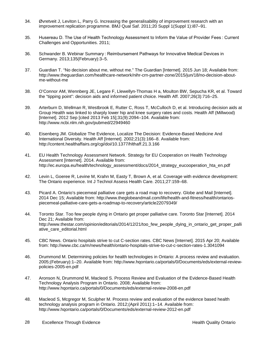- 34. Øvretveit J, Leviton L, Parry G. Increasing the generalisability of improvement research with an improvement replication programme. BMJ Qual Saf. 2011;20 Suppl 1(Suppl 1):i87–91.
- 35. Husereau D. The Use of Health Technology Assessment to Inform the Value of Provider Fees : Current Challenges and Opportunities. 2011;
- 36. Schwander B. Webinar Summary : Reimbursement Pathways for Innovative Medical Devices in Germany. 2013;135(February):3–5.
- 37. Guardian T. "No decision about me, without me." The Guardian [Internet]. 2015 Jun 18; Available from: http://www.theguardian.com/healthcare-network/nihr-crn-partner-zone/2015/jun/18/no-decision-aboutme-without-me
- 38. O'Connor AM, Wennberg JE, Legare F, Llewellyn-Thomas H a, Moulton BW, Sepucha KR, et al. Toward the "tipping point": decision aids and informed patient choice. Health Aff. 2007;26(3):716–25.
- 39. Arterburn D, Wellman R, Westbrook E, Rutter C, Ross T, McCulloch D, et al. Introducing decision aids at Group Health was linked to sharply lower hip and knee surgery rates and costs. Health Aff (Millwood) [Internet]. 2012 Sep [cited 2013 Feb 15];31(9):2094–104. Available from: http://www.ncbi.nlm.nih.gov/pubmed/22949460
- 40. Eisenberg JM. Globalize The Evidence, Localize The Decision: Evidence-Based Medicine And International Diversity. Health Aff [Internet]. 2002;21(3):166–8. Available from: http://content.healthaffairs.org/cgi/doi/10.1377/hlthaff.21.3.166
- 41. EU Health Technology Assessment Network. Strategy for EU Cooperation on Health Technology Assessment [Internet]. 2014. Available from: http://ec.europa.eu/health/technology\_assessment/docs/2014\_strategy\_eucooperation\_hta\_en.pdf
- 42. Levin L, Goeree R, Levine M, Krahn M, Easty T, Brown A, et al. Coverage with evidence development: The Ontario experience. Int J Technol Assess Health Care. 2011;27:159–68.
- 43. Picard A. Ontario's piecemeal palliative care gets a road map to recovery. Globe and Mail [Internet]. 2014 Dec 15; Available from: http://www.theglobeandmail.com/life/health-and-fitness/health/ontariospiecemeal-palliative-care-gets-a-roadmap-to-recovery/article22079349/
- 44. Toronto Star. Too few people dying in Ontario get proper palliative care. Toronto Star [Internet]. 2014 Dec 21; Available from: http://www.thestar.com/opinion/editorials/2014/12/21/too\_few\_people\_dying\_in\_ontario\_get\_proper\_palli ative\_care\_editorial.html
- 45. CBC News. Ontario hospitals strive to cut C-section rates. CBC News [Internet]. 2015 Apr 20; Available from: http://www.cbc.ca/m/news/health/ontario-hospitals-strive-to-cut-c-section-rates-1.3041094
- 46. Drummond M. Determining policies for health technologies in Ontario: A process review and evaluation. 2005;(February):1–20. Available from: http://www.hqontario.ca/portals/0/Documents/eds/external-reviewpolicies-2005-en.pdf
- 47. Aronson N, Drummond M, Macleod S. Process Review and Evaluation of the Evidence-Based Health Technology Analysis Program in Ontario. 2008; Available from: http://www.hqontario.ca/portals/0/Documents/eds/external-review-2008-en.pdf
- 48. Macleod S, Mcgregor M, Sculpher M. Process review and evaluation of the evidence based health technology analysis program in Ontario. 2012;(April 2011):1–14. Available from: http://www.hqontario.ca/portals/0/Documents/eds/external-review-2012-en.pdf